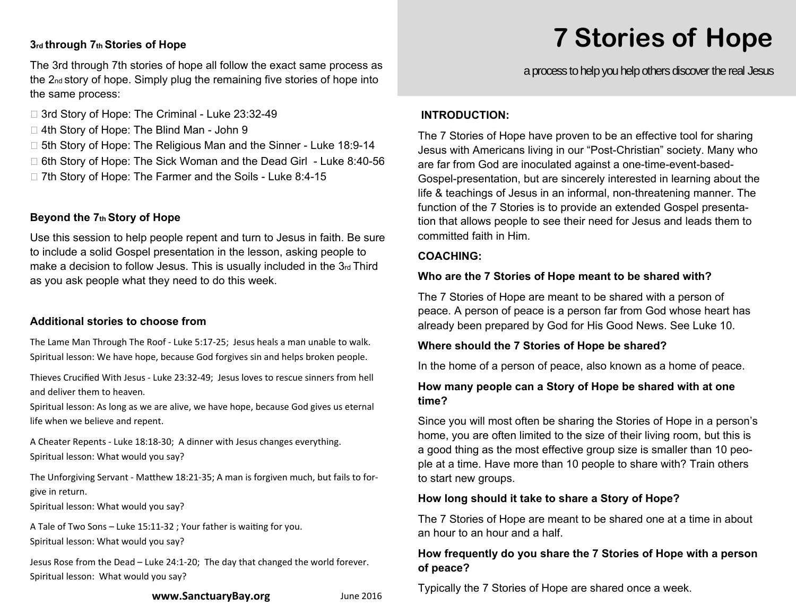#### **3rd through 7th Stories of Hope**

The 3rd through 7th stories of hope all follow the exact same process as the 2nd story of hope. Simply plug the remaining five stories of hope into the same process:

- □ 3rd Story of Hope: The Criminal Luke 23:32-49
- □ 4th Story of Hope: The Blind Man John 9
- □ 5th Story of Hope: The Religious Man and the Sinner Luke 18:9-14
- □ 6th Story of Hope: The Sick Woman and the Dead Girl Luke 8:40-56
- □ 7th Story of Hope: The Farmer and the Soils Luke 8:4-15

#### **Beyond the 7th Story of Hope**

Use this session to help people repent and turn to Jesus in faith. Be sure to include a solid Gospel presentation in the lesson, asking people to make a decision to follow Jesus. This is usually included in the 3rd Third as you ask people what they need to do this week.

#### **Additional stories to choose from**

The Lame Man Through The Roof ‐ Luke 5:17‐25; Jesus heals a man unable to walk. Spiritual lesson: We have hope, because God forgives sin and helps broken people.

Thieves Crucified With Jesus ‐ Luke 23:32‐49; Jesus loves to rescue sinners from hell and deliver them to heaven.

Spiritual lesson: As long as we are alive, we have hope, because God gives us eternal life when we believe and repent.

A Cheater Repents ‐ Luke 18:18‐30; A dinner with Jesus changes everything. Spiritual lesson: What would you say?

The Unforgiving Servant - Matthew 18:21-35; A man is forgiven much, but fails to forgive in return.

Spiritual lesson: What would you say?

A Tale of Two Sons – Luke 15:11-32 ; Your father is waiting for you. Spiritual lesson: What would you say?

Jesus Rose from the Dead – Luke 24:1‐20; The day that changed the world forever. Spiritual lesson: What would you say?

#### **www.SanctuaryBay.org** June 2016

# **7 Stories of Hope**

a process to help you help others discover the real Jesus

#### **INTRODUCTION:**

The 7 Stories of Hope have proven to be an effective tool for sharing Jesus with Americans living in our "Post-Christian" society. Many who are far from God are inoculated against a one-time-event-based-Gospel-presentation, but are sincerely interested in learning about the life & teachings of Jesus in an informal, non-threatening manner. The function of the 7 Stories is to provide an extended Gospel presentation that allows people to see their need for Jesus and leads them to committed faith in Him.

#### **COACHING:**

#### **Who are the 7 Stories of Hope meant to be shared with?**

The 7 Stories of Hope are meant to be shared with a person of peace. A person of peace is a person far from God whose heart has already been prepared by God for His Good News. See Luke 10.

#### **Where should the 7 Stories of Hope be shared?**

In the home of a person of peace, also known as a home of peace.

#### **How many people can a Story of Hope be shared with at one time?**

Since you will most often be sharing the Stories of Hope in a person's home, you are often limited to the size of their living room, but this is a good thing as the most effective group size is smaller than 10 people at a time. Have more than 10 people to share with? Train others to start new groups.

#### **How long should it take to share a Story of Hope?**

The 7 Stories of Hope are meant to be shared one at a time in about an hour to an hour and a half.

#### **How frequently do you share the 7 Stories of Hope with a person of peace?**

Typically the 7 Stories of Hope are shared once a week.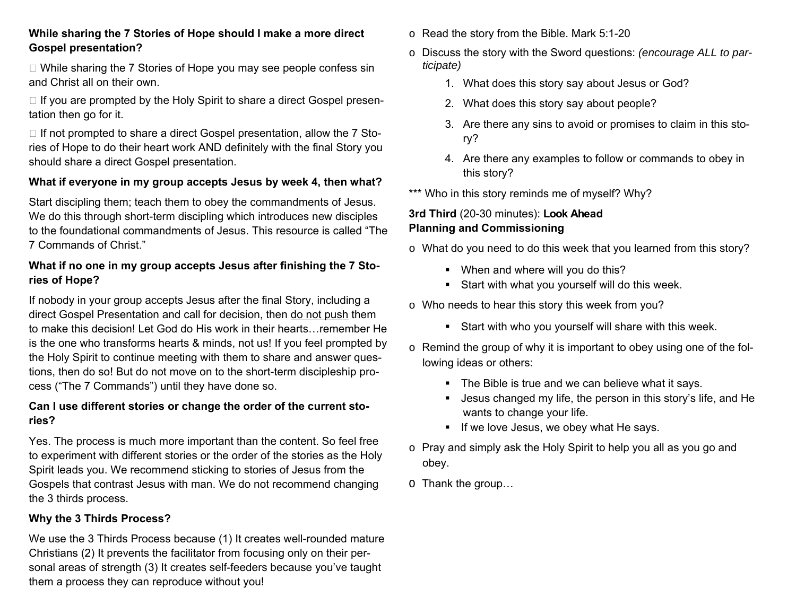#### **While sharing the 7 Stories of Hope should I make a more direct Gospel presentation?**

 $\Box$  While sharing the 7 Stories of Hope you may see people confess sin and Christ all on their own.

 $\Box$  If you are prompted by the Holy Spirit to share a direct Gospel presentation then go for it.

 $\Box$  If not prompted to share a direct Gospel presentation, allow the 7 Stories of Hope to do their heart work AND definitely with the final Story you should share a direct Gospel presentation.

#### **What if everyone in my group accepts Jesus by week 4, then what?**

Start discipling them; teach them to obey the commandments of Jesus. We do this through short-term discipling which introduces new disciples to the foundational commandments of Jesus. This resource is called "The 7 Commands of Christ."

#### **What if no one in my group accepts Jesus after finishing the 7 Stories of Hope?**

If nobody in your group accepts Jesus after the final Story, including a direct Gospel Presentation and call for decision, then do not push them to make this decision! Let God do His work in their hearts…remember He is the one who transforms hearts & minds, not us! If you feel prompted by the Holy Spirit to continue meeting with them to share and answer questions, then do so! But do not move on to the short-term discipleship process ("The 7 Commands") until they have done so.

#### **Can I use different stories or change the order of the current stories?**

Yes. The process is much more important than the content. So feel free to experiment with different stories or the order of the stories as the Holy Spirit leads you. We recommend sticking to stories of Jesus from the Gospels that contrast Jesus with man. We do not recommend changing the 3 thirds process.

#### **Why the 3 Thirds Process?**

We use the 3 Thirds Process because (1) It creates well-rounded mature Christians (2) It prevents the facilitator from focusing only on their personal areas of strength (3) It creates self-feeders because you've taught them a process they can reproduce without you!

- $\circ$  Read the story from the Bible. Mark 5:1-20
- o Discuss the story with the Sword questions: *(encourage ALL to participate)* 
	- 1. What does this story say about Jesus or God?
	- 2. What does this story say about people?
	- 3. Are there any sins to avoid or promises to claim in this story?
	- 4. Are there any examples to follow or commands to obey in this story?

\*\*\* Who in this story reminds me of myself? Why?

### **3rd Third** (20-30 minutes): **Look Ahead Planning and Commissioning**

- <sup>o</sup>What do you need to do this week that you learned from this story?
	- **•** When and where will you do this?
	- Start with what you yourself will do this week.
- <sup>o</sup>Who needs to hear this story this week from you?
	- Start with who you yourself will share with this week.
- o Remind the group of why it is important to obey using one of the following ideas or others:
	- The Bible is true and we can believe what it says.
	- Jesus changed my life, the person in this story's life, and He wants to change your life.
	- If we love Jesus, we obey what He says.
- $\circ$  Pray and simply ask the Holy Spirit to help you all as you go and obey.
- O Thank the group…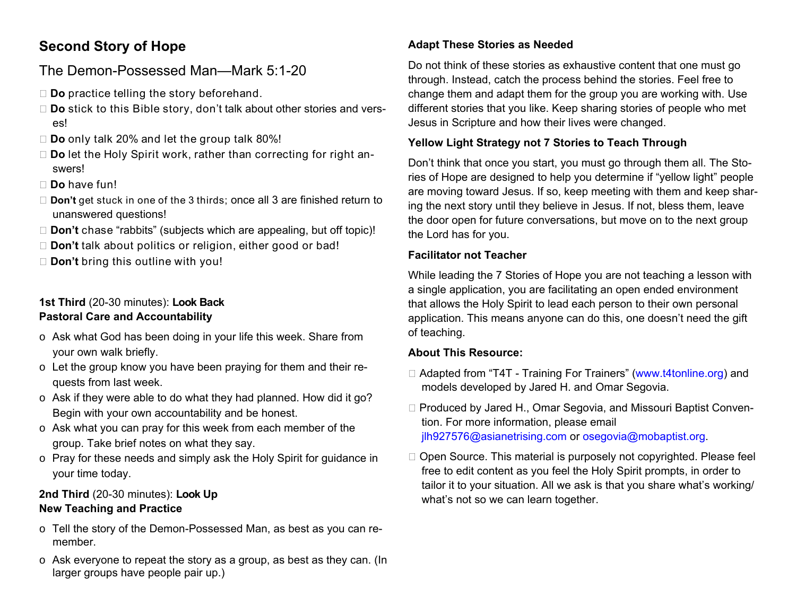# **Second Story of Hope**

## The Demon-Possessed Man—Mark 5:1-20

- □ **Do** practice telling the story beforehand.
- □ **Do** stick to this Bible story, don't talk about other stories and verses!
- **Do** only talk 20% and let the group talk 80%!
- □ **Do** let the Holy Spirit work, rather than correcting for right answers!
- **Do** have fun!
- □ **Don't** get stuck in one of the 3 thirds; once all 3 are finished return to unanswered questions!
- □ **Don't** chase "rabbits" (subjects which are appealing, but off topic)!
- **Don't** talk about politics or religion, either good or bad!
- **Don't** bring this outline with you!

## **1st Third** (20-30 minutes): **Look Back Pastoral Care and Accountability**

- o Ask what God has been doing in your life this week. Share from your own walk briefly.
- o Let the group know you have been praying for them and their requests from last week.
- $\circ$  Ask if they were able to do what they had planned. How did it go? Begin with your own accountability and be honest.
- $\circ$  Ask what you can pray for this week from each member of the group. Take brief notes on what they say.
- o Pray for these needs and simply ask the Holy Spirit for guidance in your time today.

## **2nd Third** (20-30 minutes): **Look Up New Teaching and Practice**

- o Tell the story of the Demon-Possessed Man, as best as you can remember.
- $\circ$  Ask everyone to repeat the story as a group, as best as they can. (In larger groups have people pair up.)

## **Adapt These Stories as Needed**

Do not think of these stories as exhaustive content that one must go through. Instead, catch the process behind the stories. Feel free to change them and adapt them for the group you are working with. Use different stories that you like. Keep sharing stories of people who met Jesus in Scripture and how their lives were changed.

## **Yellow Light Strategy not 7 Stories to Teach Through**

Don't think that once you start, you must go through them all. The Stories of Hope are designed to help you determine if "yellow light" people are moving toward Jesus. If so, keep meeting with them and keep sharing the next story until they believe in Jesus. If not, bless them, leave the door open for future conversations, but move on to the next group the Lord has for you.

### **Facilitator not Teacher**

While leading the 7 Stories of Hope you are not teaching a lesson with a single application, you are facilitating an open ended environment that allows the Holy Spirit to lead each person to their own personal application. This means anyone can do this, one doesn't need the gift of teaching.

#### **About This Resource:**

- □ Adapted from "T4T Training For Trainers" (www.t4tonline.org) and models developed by Jared H. and Omar Segovia.
- □ Produced by Jared H., Omar Segovia, and Missouri Baptist Convention. For more information, please email jlh927576@asianetrising.com or osegovia@mobaptist.org.
- □ Open Source. This material is purposely not copyrighted. Please feel free to edit content as you feel the Holy Spirit prompts, in order to tailor it to your situation. All we ask is that you share what's working/ what's not so we can learn together.